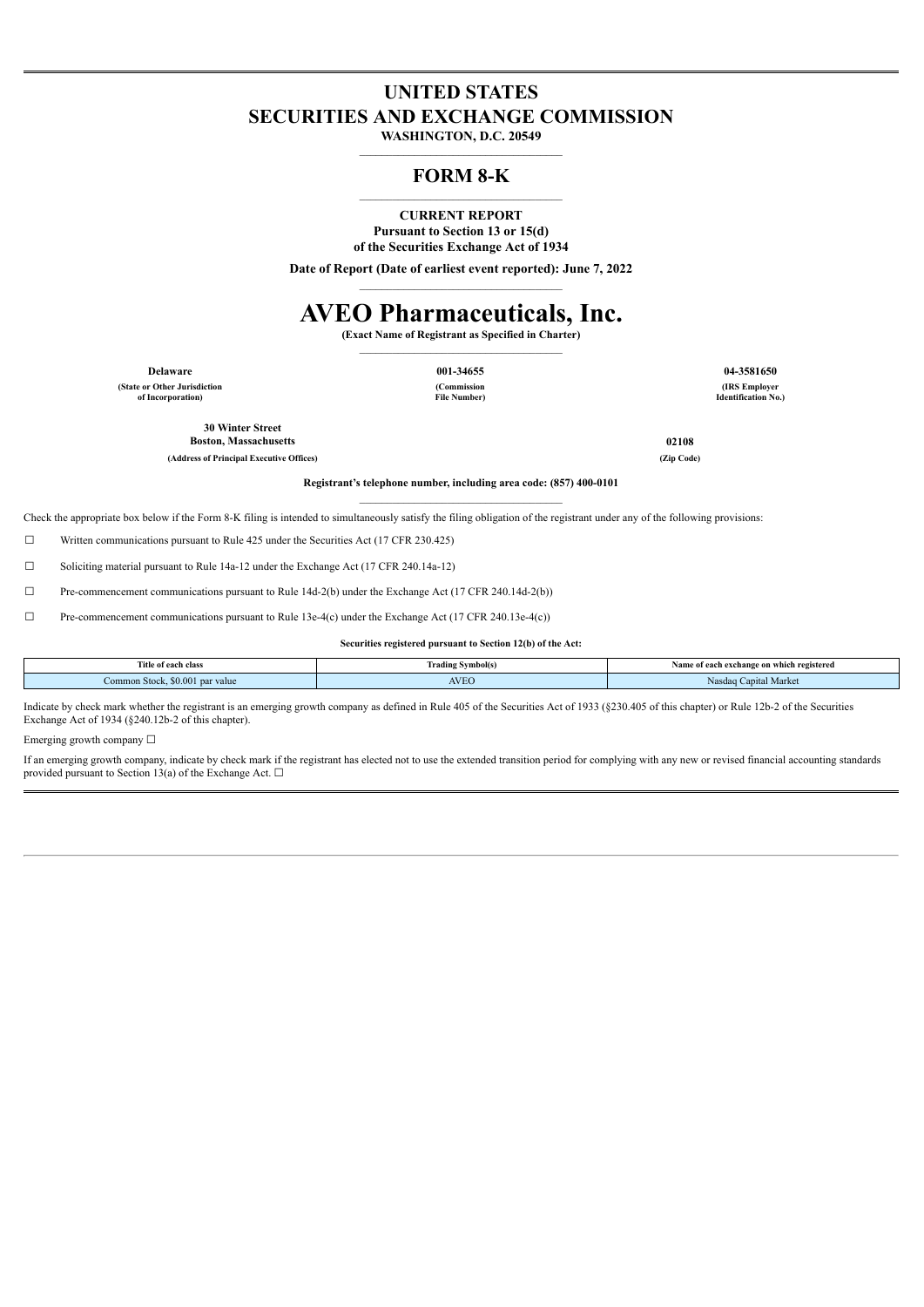## **UNITED STATES SECURITIES AND EXCHANGE COMMISSION**

**WASHINGTON, D.C. 20549**  $\mathcal{L}_\text{max}$ 

## **FORM 8-K**  $\mathcal{L}_\text{max}$

### **CURRENT REPORT**

**Pursuant to Section 13 or 15(d) of the Securities Exchange Act of 1934**

**Date of Report (Date of earliest event reported): June 7, 2022** \_\_\_\_\_\_\_\_\_\_\_\_\_\_\_\_\_\_\_\_\_\_\_\_\_\_\_\_\_\_\_\_\_\_\_\_\_

# **AVEO Pharmaceuticals, Inc.**

**(Exact Name of Registrant as Specified in Charter)**  $\mathcal{L}_\text{max}$ 

**(State or Other Jurisdiction of Incorporation)**

**(Commission File Number)**

**Delaware 001-34655 04-3581650 (IRS Employer Identification No.)**

**30 Winter Street Boston, Massachusetts 02108**

**(Address of Principal Executive Offices) (Zip Code)**

**Registrant's telephone number, including area code: (857) 400-0101**  $\mathcal{L}_\text{max}$ 

Check the appropriate box below if the Form 8-K filing is intended to simultaneously satisfy the filing obligation of the registrant under any of the following provisions:

 $\Box$  Written communications pursuant to Rule 425 under the Securities Act (17 CFR 230.425)

☐ Soliciting material pursuant to Rule 14a-12 under the Exchange Act (17 CFR 240.14a-12)

☐ Pre-commencement communications pursuant to Rule 14d-2(b) under the Exchange Act (17 CFR 240.14d-2(b))

☐ Pre-commencement communications pursuant to Rule 13e-4(c) under the Exchange Act (17 CFR 240.13e-4(c))

**Securities registered pursuant to Section 12(b) of the Act:**

| Title of each class                    | mbol(s)<br>radr<br>.<br>. | e of each exchange on which registered<br><br>. |
|----------------------------------------|---------------------------|-------------------------------------------------|
| \$0.001 par value<br>Common Stock.<br> | <b>AVEO</b>               | <b>Papital Market</b><br>Nasdao                 |

Indicate by check mark whether the registrant is an emerging growth company as defined in Rule 405 of the Securities Act of 1933 (§230.405 of this chapter) or Rule 12b-2 of the Securities Exchange Act of 1934 (§240.12b-2 of this chapter).

Emerging growth company ☐

If an emerging growth company, indicate by check mark if the registrant has elected not to use the extended transition period for complying with any new or revised financial accounting standards provided pursuant to Section 13(a) of the Exchange Act.  $□$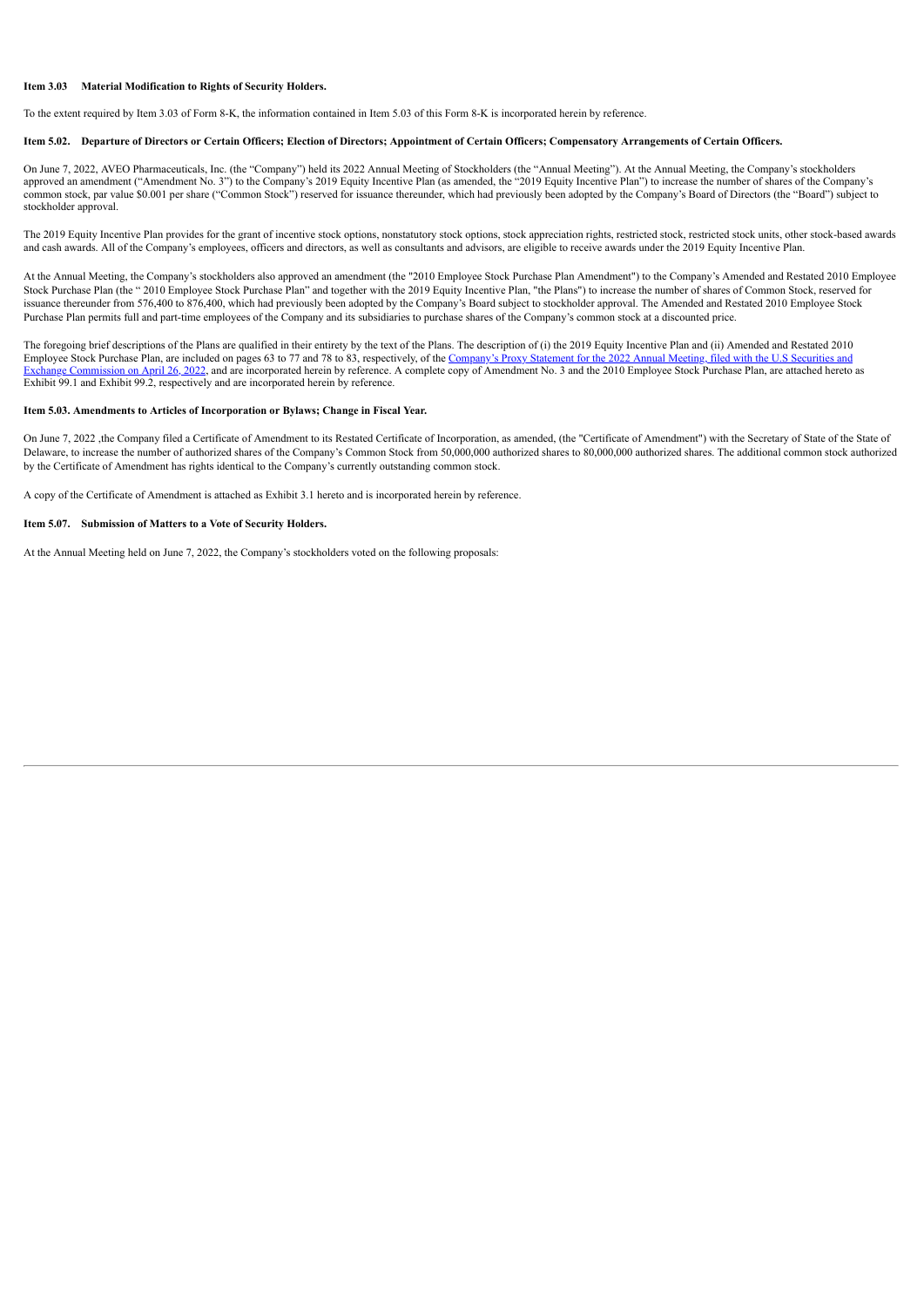#### **Item 3.03 Material Modification to Rights of Security Holders.**

To the extent required by Item 3.03 of Form 8-K, the information contained in Item 5.03 of this Form 8-K is incorporated herein by reference.

#### Item 5.02. Departure of Directors or Certain Officers; Election of Directors; Appointment of Certain Officers; Compensatory Arrangements of Certain Officers.

On June 7, 2022, AVEO Pharmaceuticals, Inc. (the "Company") held its 2022 Annual Meeting of Stockholders (the "Annual Meeting"). At the Annual Meeting, the Company's stockholders approved an amendment ("Amendment No. 3") to the Company's 2019 Equity Incentive Plan (as amended, the "2019 Equity Incentive Plan") to increase the number of shares of the Company's common stock, par value \$0.001 per share ("Common Stock") reserved for issuance thereunder, which had previously been adopted by the Company's Board of Directors (the "Board") subject to stockholder approval.

The 2019 Equity Incentive Plan provides for the grant of incentive stock options, nonstatutory stock options, stock appreciation rights, restricted stock, restricted stock units, other stock-based awards and cash awards. All of the Company's employees, officers and directors, as well as consultants and advisors, are eligible to receive awards under the 2019 Equity Incentive Plan.

At the Annual Meeting, the Company's stockholders also approved an amendment (the "2010 Employee Stock Purchase Plan Amendment") to the Company's Amended and Restated 2010 Employee Stock Purchase Plan (the " 2010 Employee Stock Purchase Plan" and together with the 2019 Equity Incentive Plan, "the Plans") to increase the number of shares of Common Stock, reserved for issuance thereunder from 576,400 to 876,400, which had previously been adopted by the Company's Board subject to stockholder approval. The Amended and Restated 2010 Employee Stock Purchase Plan permits full and part-time employees of the Company and its subsidiaries to purchase shares of the Company's common stock at a discounted price.

The foregoing brief descriptions of the Plans are qualified in their entirety by the text of the Plans. The description of (i) the 2019 Equity Incentive Plan and (ii) Amended and Restated 2010 Employee Stock Purchase Plan, are included on pages 63 to 77 and 78 to 83, respectively, of the [Company's](https://www.sec.gov/Archives/edgar/data/1325879/000162828022010614/aveodef14a2022combined.htm) Proxy Statement for the 2022 Annual Meeting, filed with the U.S Securities and [Commission](https://www.sec.gov/Archives/edgar/data/1325879/000162828022010614/aveodef14a2022combined.htm) on [April](https://www.sec.gov/Archives/edgar/data/1325879/000162828022010614/aveodef14a2022combined.htm) 26, 2022, and are incorporated herein by reference. A complete copy of Amendment No. 3 and the 2010 Employee Stock Purchase Plan, are attached hereto as Exhibit 99.1 and Exhibit 99.2, respectively and are incorporated herein by reference.

#### **Item 5.03. Amendments to Articles of Incorporation or Bylaws; Change in Fiscal Year.**

On June 7, 2022 , the Company filed a Certificate of Amendment to its Restated Certificate of Incorporation, as amended, (the "Certificate of Amendment") with the Secretary of State of the State of Delaware, to increase the number of authorized shares of the Company's Common Stock from 50,000,000 authorized shares to 80,000,000 authorized shares. The additional common stock authorized by the Certificate of Amendment has rights identical to the Company's currently outstanding common stock.

A copy of the Certificate of Amendment is attached as Exhibit 3.1 hereto and is incorporated herein by reference.

#### **Item 5.07. Submission of Matters to a Vote of Security Holders.**

At the Annual Meeting held on June 7, 2022, the Company's stockholders voted on the following proposals: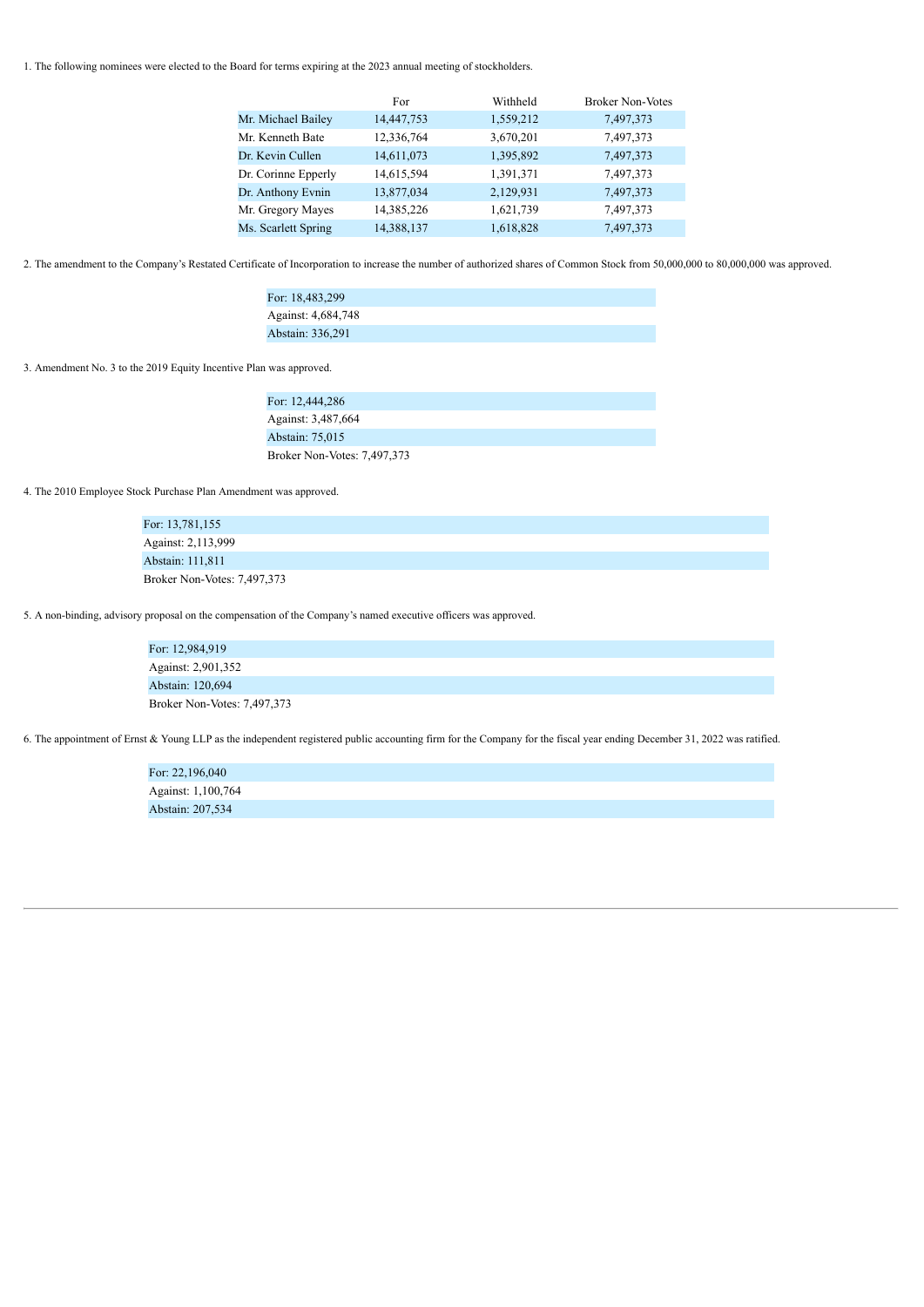1. The following nominees were elected to the Board for terms expiring at the 2023 annual meeting of stockholders.

|                     | For        | Withheld  | <b>Broker Non-Votes</b> |
|---------------------|------------|-----------|-------------------------|
| Mr. Michael Bailey  | 14,447,753 | 1,559,212 | 7,497,373               |
| Mr. Kenneth Bate    | 12,336,764 | 3,670,201 | 7,497,373               |
| Dr. Kevin Cullen    | 14,611,073 | 1,395,892 | 7,497,373               |
| Dr. Corinne Epperly | 14,615,594 | 1,391,371 | 7,497,373               |
| Dr. Anthony Evnin   | 13,877,034 | 2,129,931 | 7,497,373               |
| Mr. Gregory Mayes   | 14,385,226 | 1,621,739 | 7,497,373               |
| Ms. Scarlett Spring | 14,388,137 | 1,618,828 | 7,497,373               |

2. The amendment to the Company's Restated Certificate of Incorporation to increase the number of authorized shares of Common Stock from 50,000,000 to 80,000,000 was approved.

| For: 18,483,299    |  |
|--------------------|--|
| Against: 4,684,748 |  |
| Abstain: 336,291   |  |

3. Amendment No. 3 to the 2019 Equity Incentive Plan was approved.

| For: 12,444,286             |  |
|-----------------------------|--|
| Against: 3,487,664          |  |
| Abstain: 75,015             |  |
| Broker Non-Votes: 7,497,373 |  |

4. The 2010 Employee Stock Purchase Plan Amendment was approved.

| For: 13,781,155             |  |
|-----------------------------|--|
| Against: 2,113,999          |  |
| Abstain: 111,811            |  |
| Broker Non-Votes: 7,497,373 |  |

5. A non-binding, advisory proposal on the compensation of the Company's named executive officers was approved.

| For: 12,984,919             |  |
|-----------------------------|--|
| Against: 2,901,352          |  |
| Abstain: 120,694            |  |
| Broker Non-Votes: 7,497,373 |  |

6. The appointment of Ernst & Young LLP as the independent registered public accounting firm for the Company for the fiscal year ending December 31, 2022 was ratified.

For: 22,196,040 Against: 1,100,764 Abstain: 207,534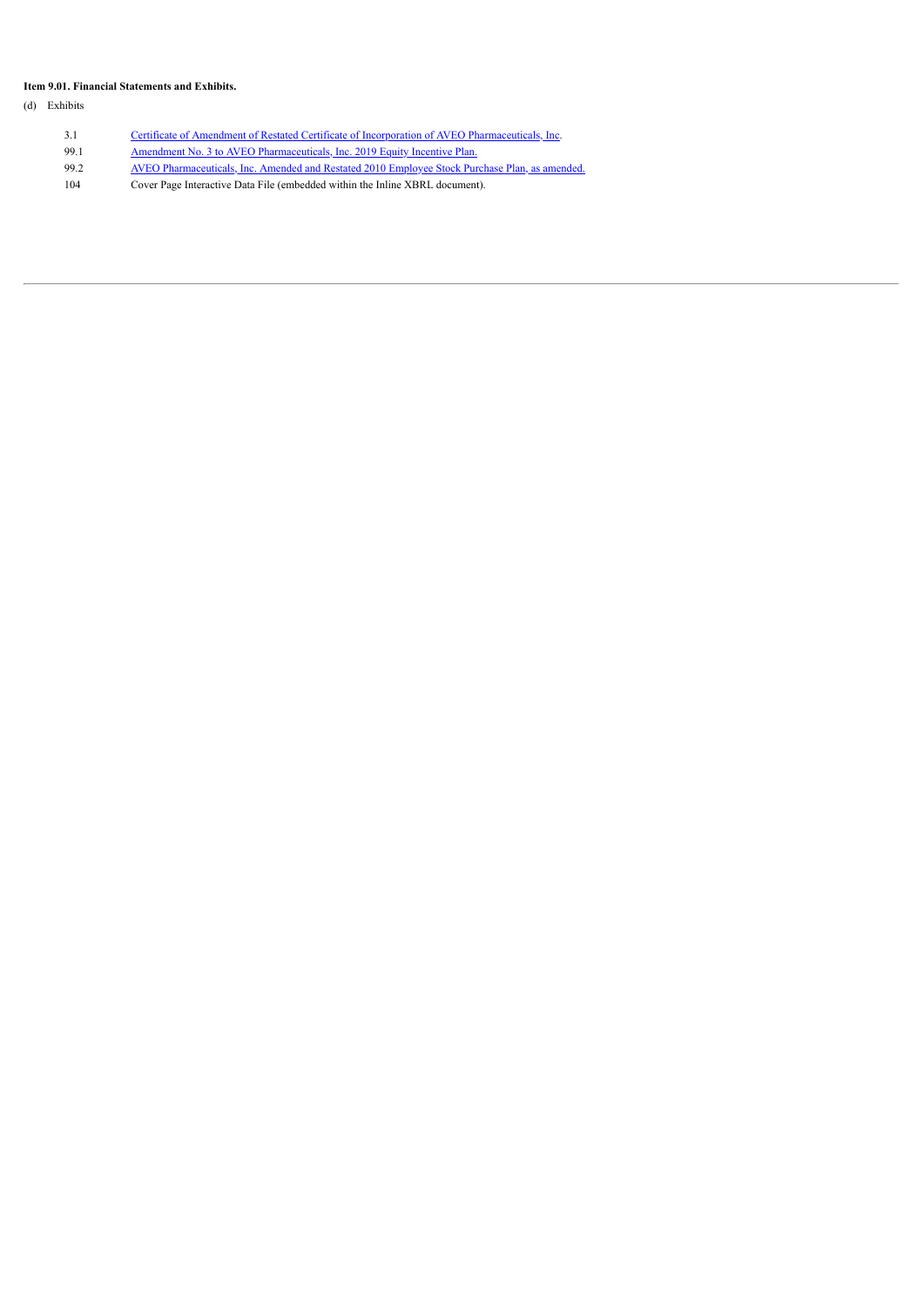## **Item 9.01. Financial Statements and Exhibits.**

(d) Exhibits

3.1 Certificate of Amendment of Restated Certificate of Incorporation of AVEO [Pharmaceuticals,](#page-5-0) Inc. 99.1 [Amendment](https://www.sec.gov/Archives/edgar/data/1325879/000162828022010614/aveodef14a2022combined.htm#ib47c56399163459e894ce040dda0b4d5_169) [No.](https://www.sec.gov/Archives/edgar/data/1325879/000162828022010614/aveodef14a2022combined.htm#ib47c56399163459e894ce040dda0b4d5_169) 3 to AVEO [Pharmaceuticals,](https://www.sec.gov/Archives/edgar/data/1325879/000162828022010614/aveodef14a2022combined.htm#ib47c56399163459e894ce040dda0b4d5_169) Inc. 2019 Equity [Incentive](https://www.sec.gov/Archives/edgar/data/1325879/000162828022010614/aveodef14a2022combined.htm#ib47c56399163459e894ce040dda0b4d5_169) [Plan.](https://www.sec.gov/Archives/edgar/data/1325879/000162828022010614/aveodef14a2022combined.htm#ib47c56399163459e894ce040dda0b4d5_169) 99.2 AVEO [Pharmaceuticals,](https://www.sec.gov/Archives/edgar/data/1325879/000162828022010614/aveodef14a2022combined.htm#ib47c56399163459e894ce040dda0b4d5_175) Inc. Amended and Restated 2010 [Employee](https://www.sec.gov/Archives/edgar/data/1325879/000162828022010614/aveodef14a2022combined.htm#ib47c56399163459e894ce040dda0b4d5_175) Stock Purchase Plan, as [amended.](https://www.sec.gov/Archives/edgar/data/1325879/000162828022010614/aveodef14a2022combined.htm#ib47c56399163459e894ce040dda0b4d5_175) 104 Cover Page Interactive Data File (embedded within the Inline XBRL document).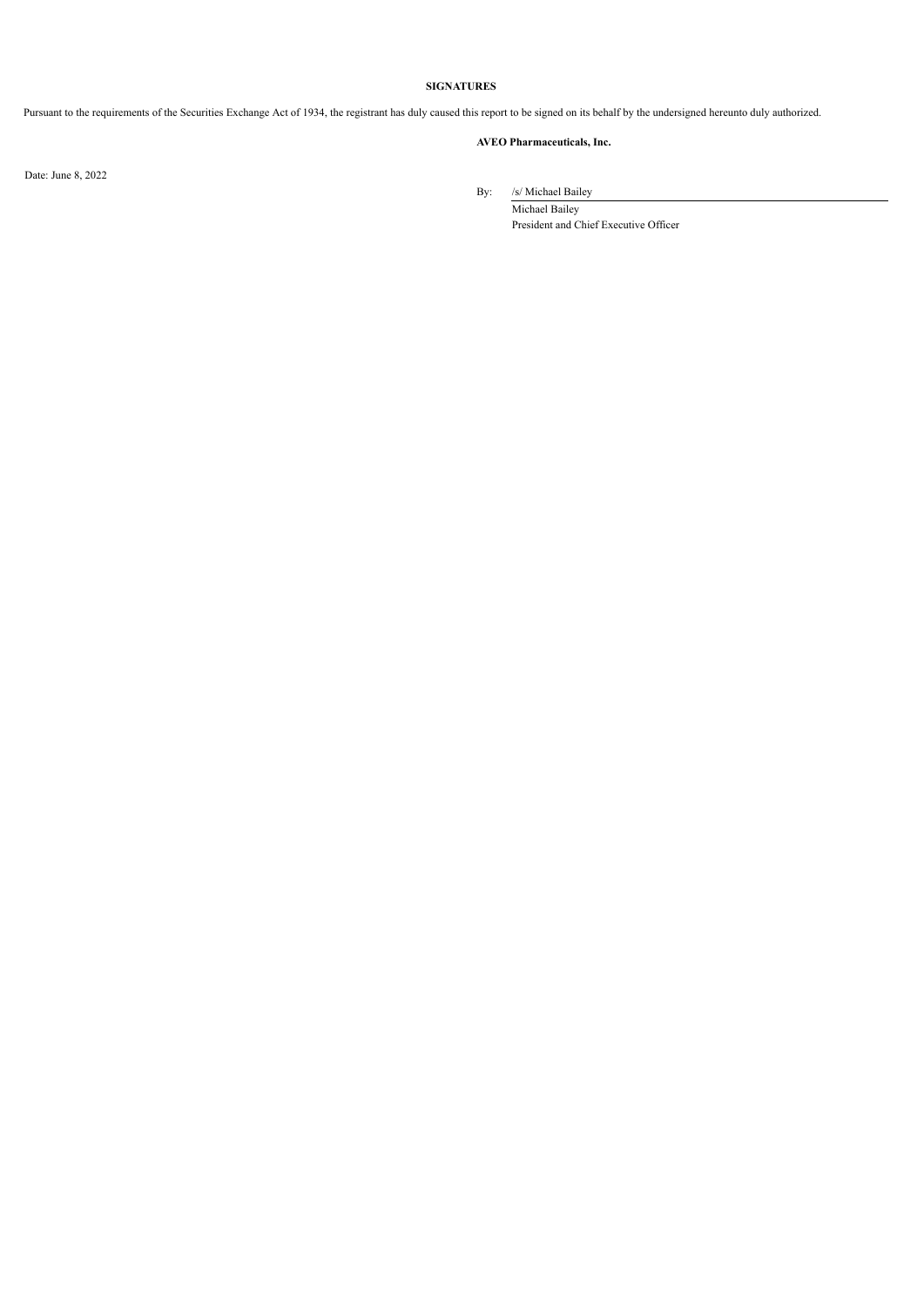## **SIGNATURES**

Pursuant to the requirements of the Securities Exchange Act of 1934, the registrant has duly caused this report to be signed on its behalf by the undersigned hereunto duly authorized.

## **AVEO Pharmaceuticals, Inc.**

Date: June 8, 2022

By: /s/ Michael Bailey

Michael Bailey President and Chief Executive Officer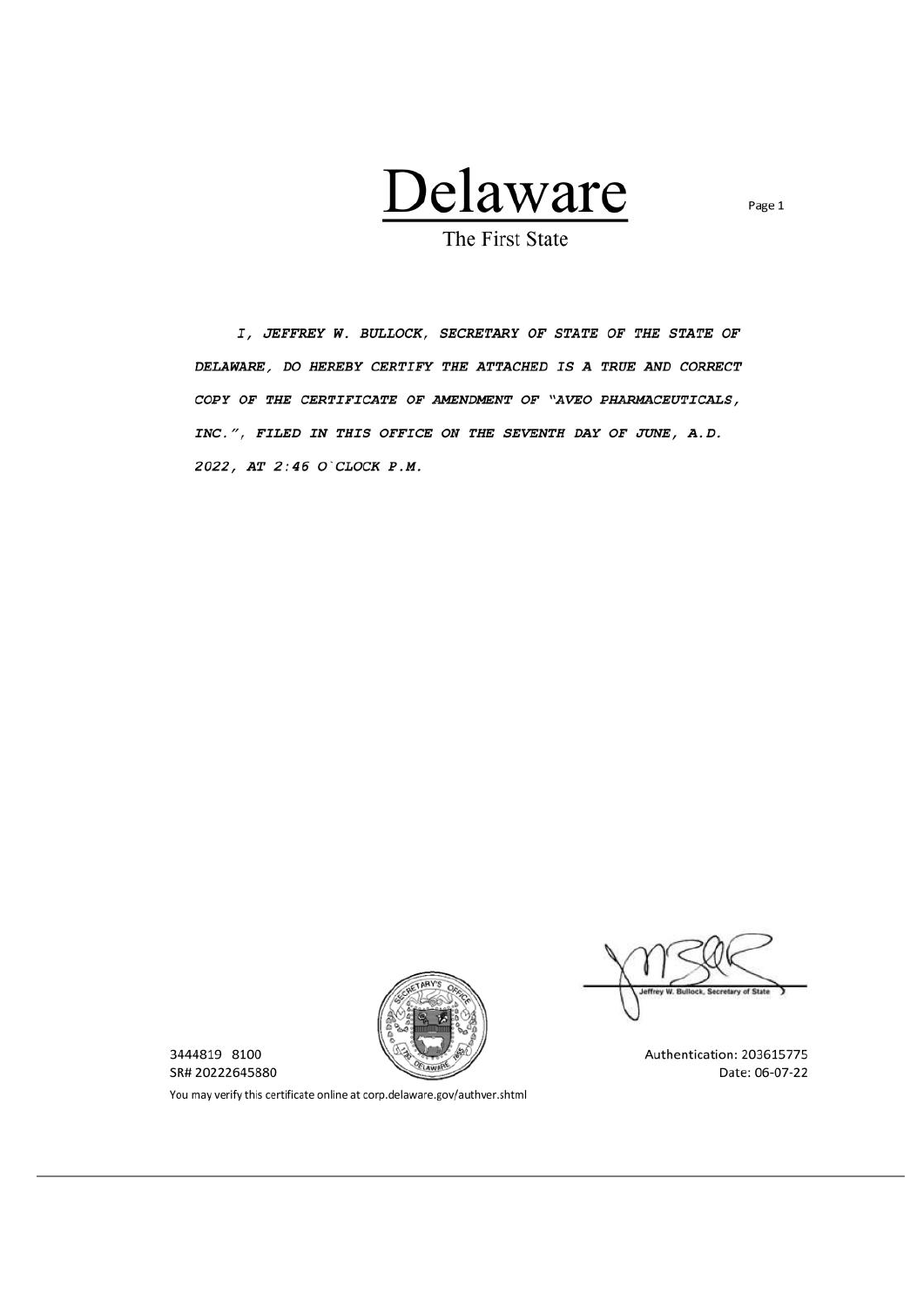

The First State

<span id="page-5-0"></span>I, JEFFREY W. BULLOCK, SECRETARY OF STATE OF THE STATE OF DELAWARE, DO HEREBY CERTIFY THE ATTACHED IS A TRUE AND CORRECT COPY OF THE CERTIFICATE OF AMENDMENT OF "AVEO PHARMACEUTICALS, INC.", FILED IN THIS OFFICE ON THE SEVENTH DAY OF JUNE, A.D. 2022, AT 2:46 O'CLOCK P.M.



3444819 8100 SR# 20222645880

Authentication: 203615775 Date: 06-07-22

You may verify this certificate online at corp.delaware.gov/authver.shtml

Page 1